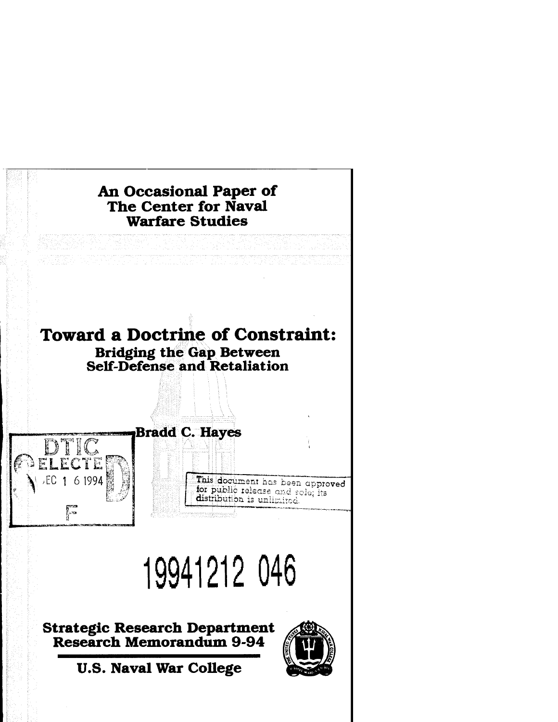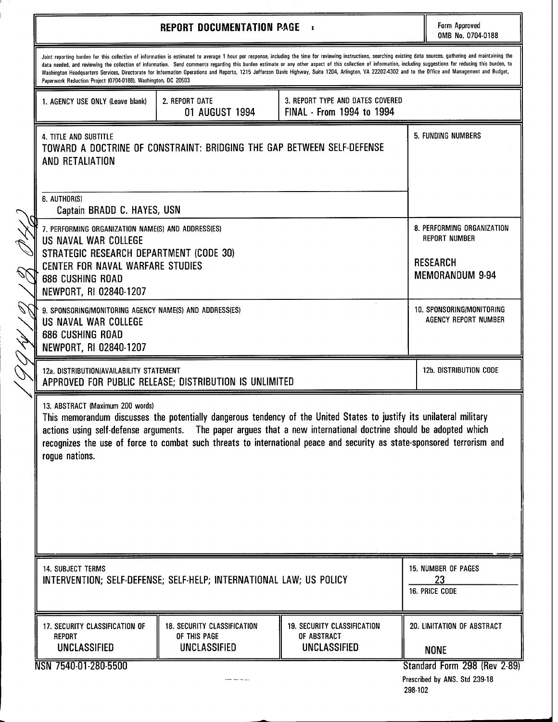| <b>REPORT DOCUMENTATION PAGE</b>                                                                                                 |                                                                           |                                                                                                                                                                                                                                                                                                                                                                                                                                                                                                                                                                                                                                                   |                              | Form Approved<br>OMB No. 0704-0188                 |
|----------------------------------------------------------------------------------------------------------------------------------|---------------------------------------------------------------------------|---------------------------------------------------------------------------------------------------------------------------------------------------------------------------------------------------------------------------------------------------------------------------------------------------------------------------------------------------------------------------------------------------------------------------------------------------------------------------------------------------------------------------------------------------------------------------------------------------------------------------------------------------|------------------------------|----------------------------------------------------|
| Paperwork Reduction Project (0704-0188), Washington, DC 20503                                                                    |                                                                           | Joint reporting burden for this collection of information is estimated to average 1 hour per response, including the time for reviewing instructions, searching existing data sources, gathering and maintaining the<br>data needed, and reviewing the collection of information. Send comments regarding this burden estimate or any other aspect of this collection of information, including suggestions for reducing this burden, to<br>Washington Headquarters Services, Directorate for Information Operations and Reports, 1215 Jefferson Davis Highway, Suite 1204, Arlington, VA 22202-4302 and to the Office and Management and Budget, |                              |                                                    |
| 1. AGENCY USE ONLY (Leave blank)                                                                                                 | 2. REPORT DATE<br>01 AUGUST 1994                                          | 3. REPORT TYPE AND DATES COVERED<br>FINAL - From 1994 to 1994                                                                                                                                                                                                                                                                                                                                                                                                                                                                                                                                                                                     |                              |                                                    |
| <b>4. TITLE AND SUBTITLE</b><br>AND RETALIATION                                                                                  | TOWARD A DOCTRINE OF CONSTRAINT: BRIDGING THE GAP BETWEEN SELF-DEFENSE    |                                                                                                                                                                                                                                                                                                                                                                                                                                                                                                                                                                                                                                                   |                              | 5. FUNDING NUMBERS                                 |
| 6. AUTHOR(S)<br>Captain BRADD C. HAYES, USN                                                                                      |                                                                           |                                                                                                                                                                                                                                                                                                                                                                                                                                                                                                                                                                                                                                                   |                              |                                                    |
| 7. PERFORMING ORGANIZATION NAME(S) AND ADDRESS(ES)<br>US NAVAL WAR COLLEGE                                                       |                                                                           |                                                                                                                                                                                                                                                                                                                                                                                                                                                                                                                                                                                                                                                   |                              | 8. PERFORMING ORGANIZATION<br><b>REPORT NUMBER</b> |
| STRATEGIC RESEARCH DEPARTMENT (CODE 30)<br>CENTER FOR NAVAL WARFARE STUDIES<br><b>686 CUSHING ROAD</b><br>NEWPORT, RI 02840-1207 |                                                                           |                                                                                                                                                                                                                                                                                                                                                                                                                                                                                                                                                                                                                                                   |                              | <b>RESEARCH</b><br><b>MEMORANDUM 9-94</b>          |
| 9. SPONSORING/MONITORING AGENCY NAME(S) AND ADDRESS(ES)<br>US NAVAL WAR COLLEGE<br>686 CUSHING ROAD<br>NEWPORT, RI 02840-1207    |                                                                           |                                                                                                                                                                                                                                                                                                                                                                                                                                                                                                                                                                                                                                                   |                              | 10. SPONSORING/MONITORING<br>AGENCY REPORT NUMBER  |
| 12a. DISTRIBUTION/AVAILABILITY STATEMENT<br>APPROVED FOR PUBLIC RELEASE; DISTRIBUTION IS UNLIMITED                               |                                                                           |                                                                                                                                                                                                                                                                                                                                                                                                                                                                                                                                                                                                                                                   |                              | 12b. DISTRIBUTION CODE                             |
| 13. ABSTRACT (Maximum 200 words)<br>rogue nations.                                                                               |                                                                           | This memorandum discusses the potentially dangerous tendency of the United States to justify its unilateral military<br>actions using self-defense arguments. The paper argues that a new international doctrine should be adopted which<br>recognizes the use of force to combat such threats to international peace and security as state-sponsored terrorism and                                                                                                                                                                                                                                                                               |                              |                                                    |
| <b>14. SUBJECT TERMS</b><br>INTERVENTION; SELF-DEFENSE; SELF-HELP; INTERNATIONAL LAW; US POLICY                                  |                                                                           |                                                                                                                                                                                                                                                                                                                                                                                                                                                                                                                                                                                                                                                   |                              | 15. NUMBER OF PAGES<br>23                          |
|                                                                                                                                  |                                                                           |                                                                                                                                                                                                                                                                                                                                                                                                                                                                                                                                                                                                                                                   |                              | 16. PRICE CODE                                     |
| <b>17. SECURITY CLASSIFICATION OF</b><br>REPORT<br><b>UNCLASSIFIED</b>                                                           | <b>18. SECURITY CLASSIFICATION</b><br>OF THIS PAGE<br><b>UNCLASSIFIED</b> | <b>19. SECURITY CLASSIFICATION</b><br>OF ABSTRACT<br><b>UNCLASSIFIED</b>                                                                                                                                                                                                                                                                                                                                                                                                                                                                                                                                                                          |                              | 20. LIMITATION OF ABSTRACT<br><b>NONE</b>          |
| NSN 7540-01-280-5500                                                                                                             |                                                                           |                                                                                                                                                                                                                                                                                                                                                                                                                                                                                                                                                                                                                                                   | Standard Form 298 (Rev 2-89) |                                                    |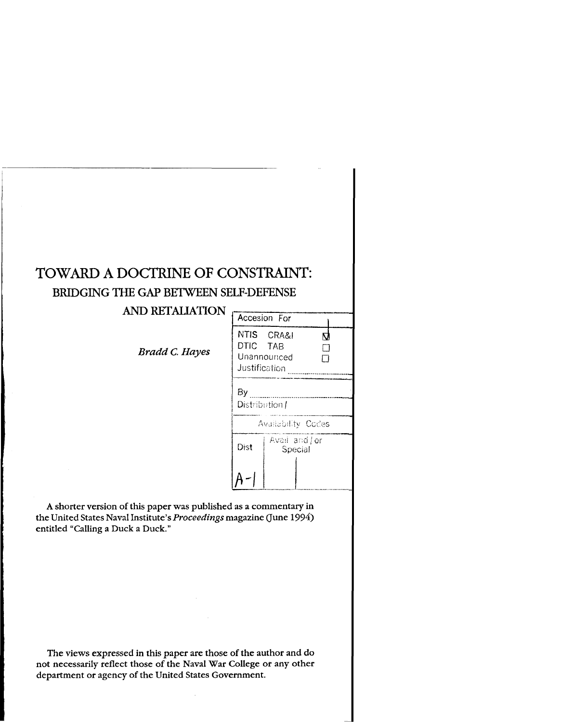# TOWARD **A** DOCTRINE OF CONSTRAINT: BRIDGING THE GAP BETWEEN SELF-DEFENSE<br>AND RETALIATION

# **AND RETALIATION**

*Bradd C. Hayes* 

|                           | Accesion For              |   |  |
|---------------------------|---------------------------|---|--|
| DTIC TAB<br>Justification | NTIS CRA&I<br>Unannounced | N |  |
| By<br>Distribution/       |                           |   |  |
|                           | Availability Codes        |   |  |
| Dist                      | Avail and / or<br>Special |   |  |
|                           |                           |   |  |

A shorter version of this paper was published as a commentary in the United States Naval Institute's Proceedings magazine (June 1994) entitled "Calling a Duck a Duck."

The views expressed in this paper are those of the author and do not necessarily reflect those of the Naval War College or any other department or agency of the United States Government.

 $\bar{\mathcal{A}}$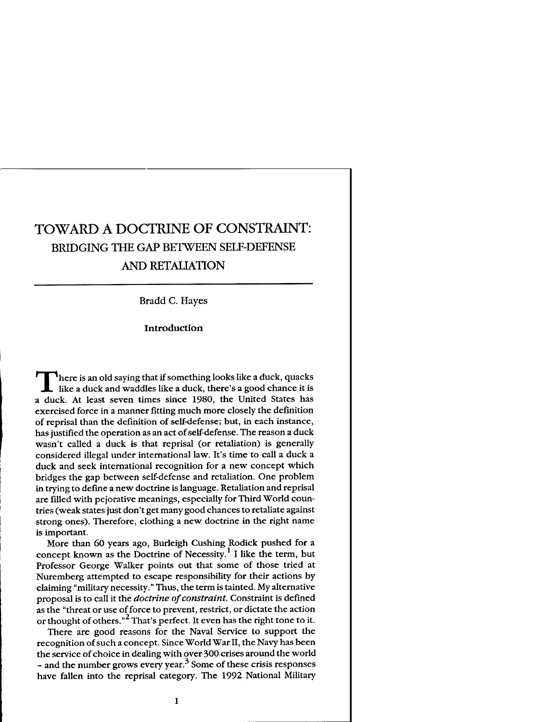# TOWARD **A** DOCTRINE OF CONSTRAINT: BRIDGING THE GAP BETWEEN SELF-DEFENSE **AND RETALIATION**

Bradd C. Hayes

**Introduction** 

**T** here is an old saying that if something looks like a duck, quacks like a duck and waddles like a duck, there's a good chance it is a duck. At least seven times since 1980, the United States has exercised force in a manner fitting much more closely the definition of reprisal than the definition of self-defense; but, in each instance, has justified the operation as an act of self-defense. The reason a duck wasn't called a duck is that reprisal (or retaliation) is generally considered illegal under international law. It's time to call a duck a duck and seek international recognition for a new concept which bridges the gap between self-defense and retaliation. One problem in trying to define a new doctrine is language. Retaliation and reprisal are filled with pejorative meanings, especially for Third World countries (weak states just don't get many good chances to retaliate against strong ones). Therefore, clothing a new doctrine in the right name is important.

More than 60 years ago, Burleigh Cushing Rodick pushed for a concept known as the Doctrine of Necessity.<sup>1</sup> I like the term, but Professor George Walker points out that some of those tried at Nuremberg attempted to escape responsibility for their actions by claiming "military necessity." Thus, the term is tainted. My alternative proposal is to call it the *doctrine* of *constraint.* Constraint is defined as the "threat or use of force to prevent, restrict, or dictate the action or thought of others."<sup>2</sup> That's perfect. It even has the right tone to it.

There are good reasons for the Naval Service to support the recognition of such a concept. Since World War 11, the Navy has been the service of choice in dealing with over 300 crises around the world - and the number grows every year.<sup>3</sup> Some of these crisis responses have fallen into the reprisal category. The 1992 National Military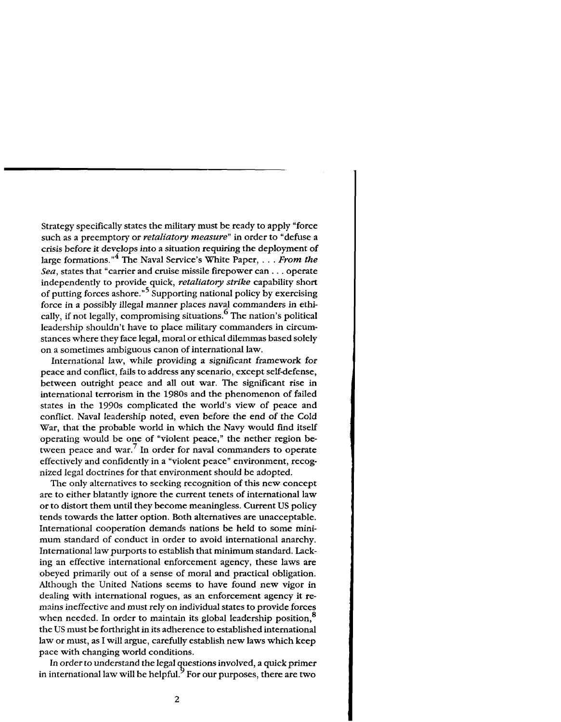Strategy specifically states the military must be ready to apply "force such as a preemptory or *retaliatory measure*" in order to "defuse a crisis before it develops into a situation requiring the deployment of large formations."<sup>4</sup> The Naval Service's White Paper,  $\ldots$  *From the* Sea, states that "carrier and cruise missile firepower can . . . operate independently to provide quick, retaliatory strike capability short of putting forces ashore."<sup>5</sup> Supporting national policy by exercising force in a possibly illegal manner places naval commanders in ethically, if not legally, compromising situations.<sup>6</sup> The nation's political leadership shouldn't have to place military commanders in circumstances where they face legal, moral or ethical dilemmas based solely on a sometimes ambiguous canon of international law.

International law, while providing a significant framework for peace and conflict, fails to address any scenario, except self-defense, between outright peace and all out war. The significant rise in international terrorism in the 1980s and the phenomenon of failed states in the 1990s complicated the world's view of peace and conflict. Naval leadership noted, even before the end of the Cold War, that the probable world in which the Navy would find itself operating would be one of "violent peace," the nether region between peace and war.<sup>7</sup> In order for naval commanders to operate effectively and confidently in a "violent peace" environment, recognized legal doctrines for that environment should be adopted.

The only alternatives to seeking recognition of this new concept are to either blatantly ignore the current tenets of international law or to distort them until they become meaningless. Current US policy tends towards the latter option. Both alternatives are unacceptable. International cooperation demands nations be held to some minimum standard of conduct in order to avoid international anarchy. International law purports to establish that minimum standard. Lacking an effective international enforcement agency, these laws are obeyed primarily out of a sense of moral and practical obligation. Although the United Nations seems to have found new vigor in dealing with international rogues, as an enforcement agency it remains ineffective and must rely on individual states to provide forces when needed. In order to maintain its global leadership position,<sup>8</sup> the US must be forthright in its adherence to established international law or must, as I will argue, carefully establish new laws which keep pace with changing world conditions.

In order to understand the legal questions involved, a quick primer in international law will be helpful.  $9^{\circ}$  For our purposes, there are two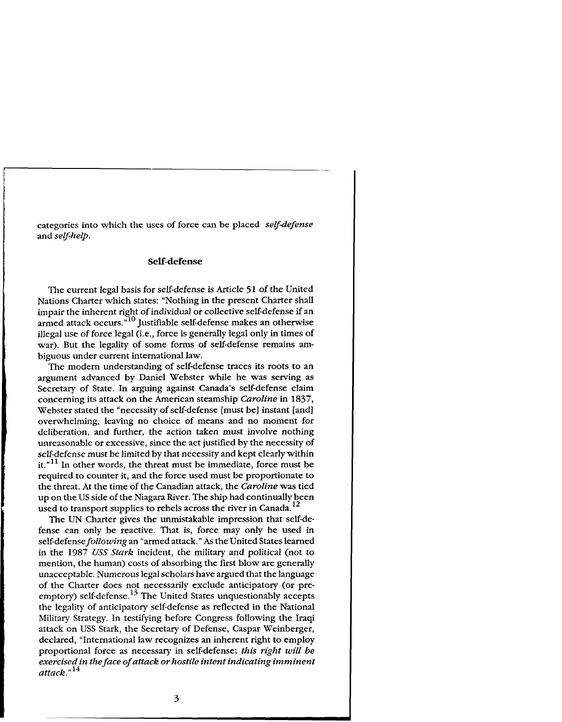categories into which the uses of force can be placed *self-defense* and *self-help*.

# **Self-defense**

The current legal basis for self-defense is Article 51 of the United Nations Charter which states: "Nothing in the present Charter shall impair the inherent right of individual or collective self-defense if an armed attack occurs."<sup>10</sup> Justifiable self-defense makes an otherwise illegal use of force legal (i.e., force is generally legal only in times of war). But the legality of some forms of self-defense remains ambiguous under current international law.

The modem understanding of self-defense traces its roots to an argument advanced by Daniel Webster while he was serving as Secretary of State. In arguing against Canada's self-defense claim concerning its attack on the American steamship *Caroline* in 1837, Webster stated the "necessity of self-defense [must be] instant [and] overwhelming, leaving no choice of means and no moment for deliberation, and further, the action taken must involve nothing unreasonable or excessive, since the act justified by the necessity of self-defense must be limited by that necessity and kept clearly within it."<sup>11</sup> In other words, the threat must be immediate, force must be required to counter it, and the force used must be proportionate to the threat. At the time of the Canadian attack, the *Caroline* was tied up on the US side of the Niagara River. The ship had continually been used to transport supplies to rebels across the river in Canada. **<sup>12</sup>**

The UN Charter gives the unmistakable impression that self-defense can only be reactive. That is, force may only be used in self-defense *following* an "armed attack." As the United States learned in the 1987 *USS Stark* incident, the military and political (not to mention, the human) costs of absorbing the first blow are generally unacceptable. Numerous legal scholars have argued that the language of the Charter does not necessarily exclude anticipatory (or preemptory) self-defense.<sup>13</sup> The United States unquestionably accepts the legality of anticipatory self-defense as reflected in the National Military Strategy. In testifying before Congress following the Iraqi attack on USS Stark, the Secretary of Defense, Caspar Weinberger, declared, "International law recognizes an inherent right to employ proportional force as necessary in self-defense; *this right will be exercised in the face of attack or hostile intent indicating imminent attack."14*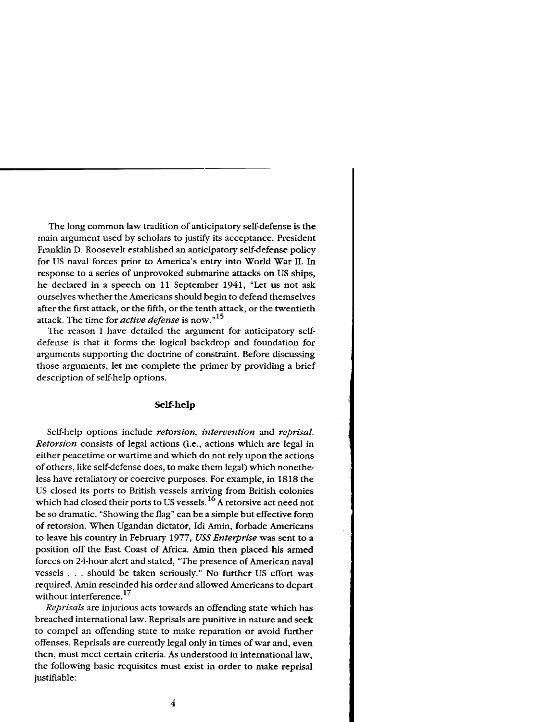The long common law tradition of anticipatory self-defense is the main argument used by scholars to justify its acceptance. President Franklin D. Roosevelt established an anticipatory self-defense policy for US naval forces prior to America's entry into World War 11. In response to a series of unprovoked submarine attacks on US ships, he declared in a speech on 11 September 1941, "Let us not ask ourselves whether the Americans should begin to defend themselves after the first attack, or the fifth, or the tenth attack, or the twentieth attack. The time for *active defense* is now."15

The reason I have detailed the argument for anticipatory selfdefense is that it forms the logical backdrop and foundation for arguments supporting the doctrine of constraint. Before discussing those arguments, let me complete the primer by providing a brief description of self-help options.

#### **Self-help**

Self-help options include *retorsion, intervention* and *reprisal. Retorsion* consists of legal actions (i.e., actions which are legal in either peacetime or wartime and which do not rely upon the actions of others, like self-defense does, to make them legal) which nonetheless have retaliatory or coercive purposes. For example, in 1818 the US closed its ports to British vessels arriving from British colonies which had closed their ports to US vessels.<sup>16</sup> A retorsive act need not be so dramatic. "Showing the flag" can be a simple but effective form of retorsion. When Ugandan dictator, Idi Amin, forbade Americans to leave his country in February 1977, *USS Enterprise* was sent to a position off the East Coast of Africa. Amin then placed his armed forces on 24-hour alert and stated, "The presence of American naval vessels . . . should be taken seriously." No further US effort was required. Amin rescinded his order and allowed Americans to depart without interference. **<sup>17</sup>**

*Reprisals* are injurious acts towards an offending state which has breached international law. Reprisals are punitive in nature and seek to compel an offending state to make reparation or avoid further offenses. Reprisals are currently legal only in times of war and, even then, must meet certain criteria. As understood in international law, the following basic requisites must exist in order to make reprisal justifiable: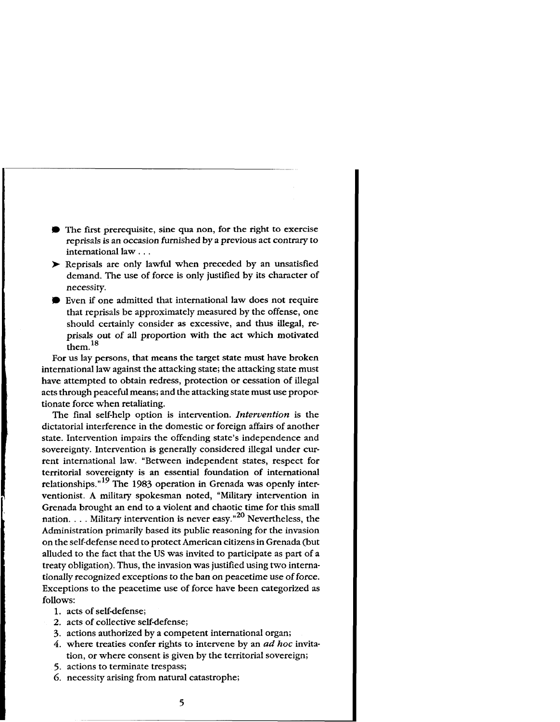- The first prerequisite, sine qua non, for the right to exercise reprisals is an occasion furnished by a previous act contrary to international law . . .<br>
> Reprisals are only lawful when preceded by an unsatisfied
- demand. The use of force is only justified by its character of necessity.
- Even if one admitted that international law does not require that reprisals be approximately measured by the offense, one should certainly consider as excessive, and thus illegal, reprisals out of all proportion with the act which motivated  $\epsilon$ <sub>them.</sub>  $^{18}$

For us lay persons, that means the target state must have broken international law against the attacking state; the attacking state must have attempted to obtain redress, protection or cessation of illegal acts through peaceful means; and the attacking state must use proportionate force when retaliating.

The final self-help option is intervention. *Intervention* is the dictatorial interference in the domestic or foreign affairs of another state. Intervention impairs the offending state's independence and sovereignty. Intervention is generally considered illegal under current international law. "Between independent states, respect for territorial sovereignty is an essential foundation of international relationships."<sup>19</sup> The 1983 operation in Grenada was openly interventionist. A military spokesman noted, "Military intervention in Grenada brought an end to a violent and chaotic time for this small nation. . . . Military intervention is never easy." $^{20}$  Nevertheless, the Administration primarily based its public reasoning for the invasion on the self-defense need to protect American citizens in Grenada (but alluded to the fact that the US was invited to participate as part of a treaty obligation). Thus, the invasion was justified using two internationally recognized exceptions to the ban on peacetime use of force. Exceptions to the peacetime use of force have been categorized as follows:

- 1. acts of self-defense;
- 2. acts of collective self-defense;
- 3. actions authorized by a competent international organ;
- 4. where treaties confer rights to intervene by an ad *hoc* invitation, or where consent is given by the territorial sovereign;<br>5. actions to terminate trespass;
- 
- 6. necessity arising from natural catastrophe;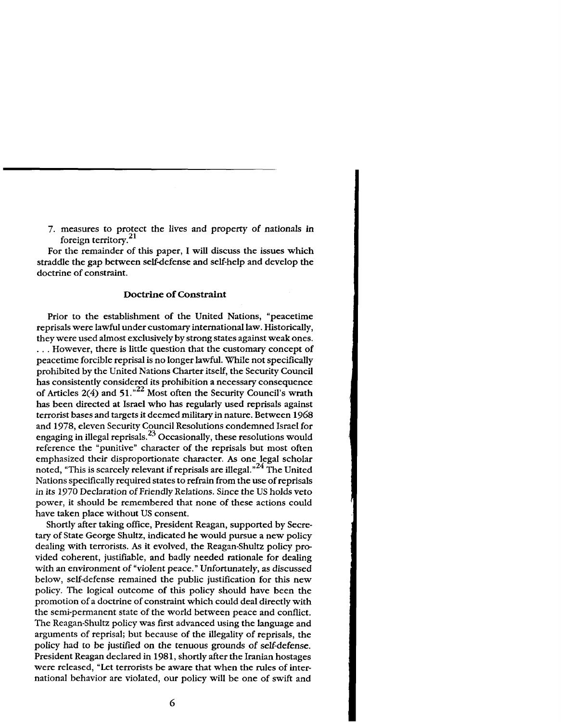7. measures to protect the lives and property of nationals in foreign territory. $^{21}$ 

For the remainder of this paper, I will discuss the issues which straddle the gap between self-defense and self-help and develop the doctrine of constraint.

#### **Doctrine of Constraint**

Prior to the establishment of the United Nations, "peacetime reprisals were lawful under customary international law. Historically, they were used almost exclusively by strong states against weak ones. . . . However, there is little question that the customary concept of peacetime forcible reprisal is no longer lawful. While not specifically prohibited by the United Nations Charter itself, the Security Council has consistently considered its prohibition a necessary consequence of Articles  $2(4)$  and  $51.^{22}$  Most often the Security Council's wrath has been directed at Israel who has regularly used reprisals against terrorist bases and targets it deemed military in nature. Between 1968 and 1978, eleven Security Council Resolutions condemned Israel for engaging in illegal reprisals.<sup>23</sup> Occasionally, these resolutions would reference the "punitive" character of the reprisals but most often emphasized their disproportionate character. **As** one legal scholar noted, "This is scarcely relevant if reprisals are illegal."<sup>24</sup> The United Nations specifically required states to refrain from the use of reprisals in its 1970 Declaration of Friendly Relations. Since the US holds veto power, it should be remembered that none of these actions could have taken place without US consent.

Shortly after taking office, President Reagan, supported by Secretary of State George Shultz, indicated he would pursue a new policy dealing with terrorists. **As** it evolved, the Reagan-Shultz policy provided coherent, justifiable, and badly needed rationale for dealing with an environment of "violent peace." Unfortunately, as discussed below, self-defense remained the public justification for this new policy. The logical outcome of this policy should have been the promotion of a doctrine of constraint which could deal directly with the semi-permanent state of the world between peace and conflict. The Reagan-Shultz policy was first advanced using the language and arguments of reprisal; but because of the illegality of reprisals, the policy had to be justified on the tenuous grounds of self-defense. President Reagan declared in 1981, shortly after the Iranian hostages were released, "Let terrorists be aware that when the rules of international behavior are violated, our policy will be one of swift and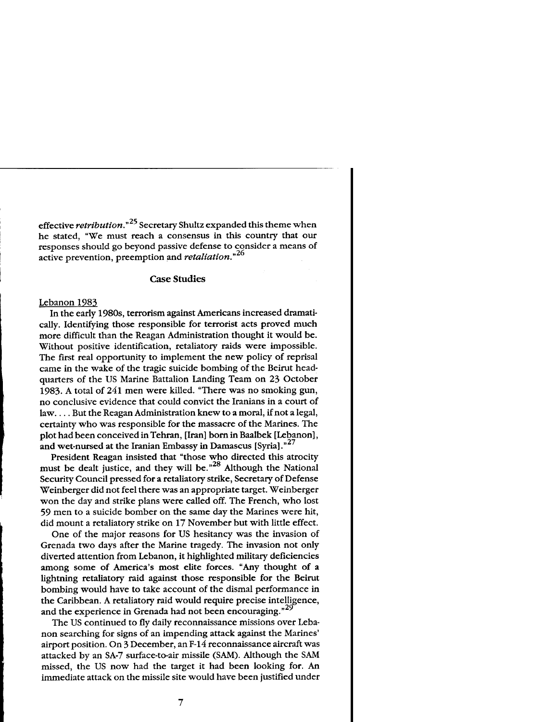effective retribution."<sup>25</sup> Secretary Shultz expanded this theme when he stated, "We must reach a consensus in this country that our responses should go beyond passive defense to consider a means of active prevention, preemption and *retaliation*."<sup>26</sup>

#### **Case Studies**

#### Lebanon 1983

In the early 1980s, terrorism against Americans increased dramatically. Identifying those responsible for terrorist acts proved much more difficult than the Reagan Administration thought it would be. Without positive identification, retaliatory raids were impossible. The first real opportunity to implement the new policy of reprisal came in the wake of the tragic suicide bombing of the Beirut headquarters of the US Marine Battalion Landing Team on 23 October 1983. A total of 241 men were killed. "There was no smoking gun, no conclusive evidence that could convict the Iranians in a court of law. . . . But the Reagan Administration knew to a moral, if not a legal, certainty who was responsible for the massacre of the Marines. The plot had been conceived in Tehran, [Iran] born in Baalbek [Lebanon], and wet-nursed at the Iranian Embassy in Damascus [Syria]."<sup>27</sup>

President Reagan insisted that "those who directed this atrocity must be dealt justice, and they will be.<sup>"28</sup> Although the National Security Council pressed for a retaliatory strike, Secretary of Defense Weinberger did not feel there was an appropriate target. Weinberger won the day and strike plans were called off. The French, who lost 59 men to a suicide bomber on the same day the Marines were hit, did mount a retaliatory strike on 17 November but with little effect.

One of the major reasons for US hesitancy was the invasion of Grenada two days after the Marine tragedy. The invasion not only diverted attention from Lebanon, it highlighted military deficiencies among some of America's most elite forces. "Any thought of a lightning retaliatory raid against those responsible for the Beirut bombing would have to take account of the dismal performance in the Caribbean. A retaliatory raid would require precise intelligence, and the experience in Grenada had not been encouraging."<sup>29</sup>

The US continued to fly daily reconnaissance missions over Lebanon searching for signs of an impending attack against the Marines' airport position. On **3** December, an F-14 reconnaissance aircraft was attacked by an SA-7 surface-to-air missile (SAM). Although the SAM missed, the US now had the target it had been looking for. An immediate attack on the missile site would have been justified under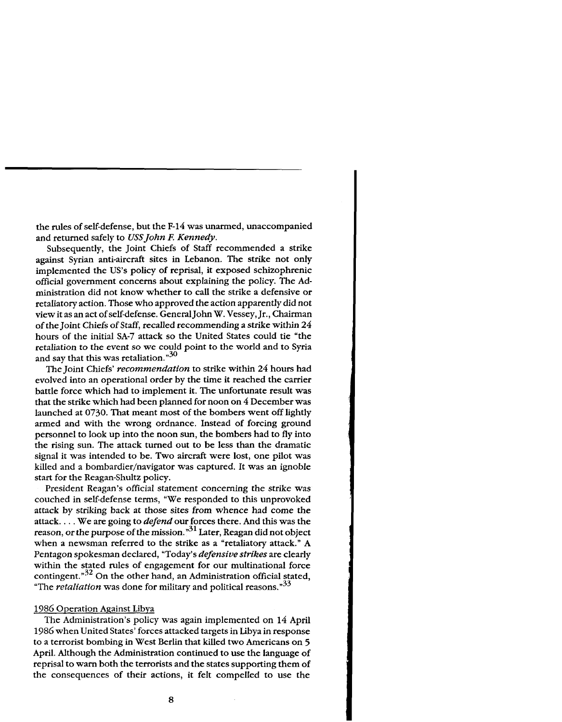the rules of self-defense, but the F-14 was unarmed, unaccompanied and returned safely to USS John F. Kennedy.

Subsequently, the Joint Chiefs of Staff recommended a strike against Syrian anti-aircraft sites in Lebanon. The strike not only implemented the US'S policy of reprisal, it exposed schizophrenic official government concerns about explaining the policy. The Administration did not know whether to call the strike a defensive or retaliatory action. Those who approved the action apparently did not view it as an act of self-defense. General John W. Vessey, Jr., Chairman of the Joint Chiefs of Staff, recalled recommending a strike within 24 hours of the initial SA-7 attack so the United States could tie "the retaliation to the event so we could point to the world and to Syria and say that this was retaliation. $"^{30}$ 

The Joint Chiefs' *recommendation* to strike within 24 hours had evolved into an operational order by the time it reached the carrier battle force which had to implement it. The unfortunate result was that the strike which had been planned for noon on *4* December was launched at 0730. That meant most of the bombers went off lightly armed and with the wrong ordnance. Instead of forcing ground personnel to look up into the noon sun, the bombers had to fly into the rising sun. The attack turned out to be less than the dramatic signal it was intended to be. Two aircraft were lost, one pilot was killed and a bombardier/navigator was captured. It was an ignoble start for the Reagan-Shultz policy.

President Reagan's official statement concerning the strike was couched in self-defense terms, "We responded to this unprovoked attack by striking back at those sites from whence had come the attack. . . . We are going to *defend* our forces there. And this was the reason, or the purpose of the mission."31 Later, Reagan didnot object when a newsman referred to the strike as a "retaliatory attack." A Pentagon spokesman declared, "Today's *defensive strikes* are clearly within the stated rules of engagement for our multinational force contingent. $^{32}$  On the other hand, an Administration official stated, "The *retaliation* was done for military and political reasons."33

#### 1986 Operation Against Libya

The Administration's policy was again implemented on 14 April 1986 when United States' forces attacked targets in Libya in response to a terrorist bombing in West Berlin that killed two Americans on **5**  April. Although the Administration continued to use the language of reprisal to warn both the terrorists and the states supporting them of the consequences of their actions, it felt compelled to use the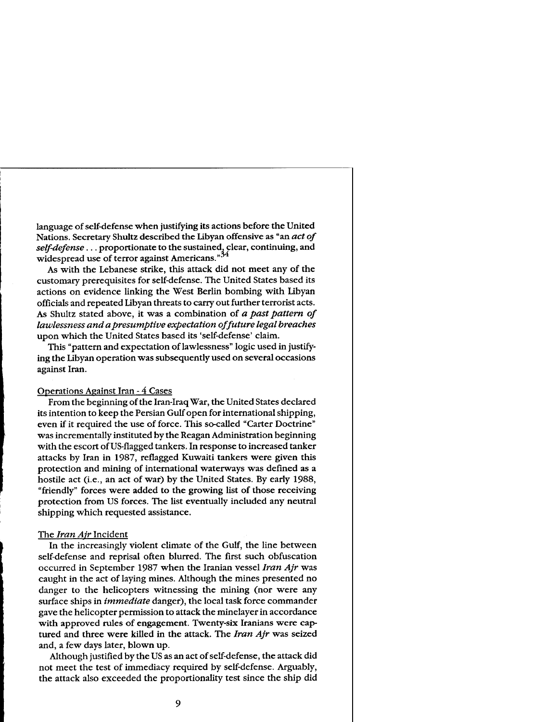language of self-defense when justifying its actions before the United Nations. Secretary Shultz described the Libyan offensive as "an *act of*  self-defense . . . proportionate to the sustained, clear, continuing, and widespread use of terror against Americans."<sup>34</sup>

As with the Lebanese strike, this attack did not meet any of the customary prerequisites for self-defense. The United States based its actions on evidence linking the West Berlin bombing with Libyan officials and repeated Libyan threats to carry out further terrorist acts. As Shultz stated above, it was a combination of *a past pattern of lawlessness and apresumptive expectation of future legal breaches*  upon which the United States based its 'self-defense' claim.

This "pattern and expectation of lawlessness" logic used in justifying the Libyan operation was subsequently used on several occasions against Iran.

## **Operations Against Iran - 4 Cases**

From the beginning of the Iran-Iraq War, the United States declared its intention to keep the Persian Gulf open for international shipping, even if it required the use of force. This so-called "Carter Doctrine" was incrementally instituted by the Reagan Administration beginning with the escort of US-flagged tankers. In response to increased tanker attacks by Iran in 1987, reflagged Kuwaiti tankers were given this protection and mining of international waterways was defined as a hostile act (i.e., an act of war) by the United States. By early 1988, "friendly" forces were added to the growing list of those receiving protection from US forces. The list eventually included any neutral shipping which requested assistance.

#### The *Iran Air* Incident

In the increasingly violent climate of the Gulf, the line between self-defense and reprisal often blurred. The first such obfuscation occurred in September 1987 when the Iranian vessel *Iran Ajr* was caught in the act of laying mines. Although the mines presented no danger to the helicopters witnessing the mining (nor were any surface ships in *immediate* danger), the local task force commander gave the helicopter permission to attack the minelayer in accordance with approved rules of engagement. Twenty-six Iranians were cap tured and three were killed in the attack. The *Iran Ajr* was seized and, a few days later, blown up.

Although justified by the US as an act of self-defense, the attack did not meet the test of immediacy required by self-defense. Arguably, the attack also exceeded the proportionality test since the ship did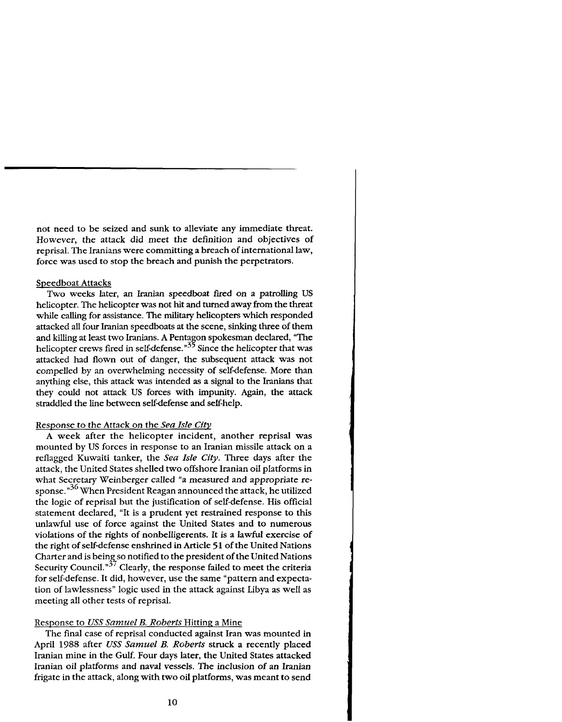not need to be seized and sunk to alleviate any immediate threat. However, the attack did meet the definition and objectives of reprisal. The Iranians were committing a breach of international law, force was used to stop the breach and punish the perpetrators.

#### Speedboat Attacks

Two weeks later, an Iranian speedboat fired on a patrolling US helicopter. The helicopter was not hit and turned away from the threat while calling for assistance. The military helicopters which responded attacked all four Iranian speedboats at the scene, sinking three of them and killing at least two Iranians. A Pentagon spokesman declared, "The helicopter crews fired in self-defense." $35$  Since the helicopter that was attacked had flown out of danger, the subsequent attack was not compelled by an overwhelming necessity of selfdefense. More than anything else, this attack was intended as a signal to the Iranians that they could not attack US forces with impunity. Again, the attack straddled the line between self-defense and self-help.

# Response to the Attack on the *Sea Isle Citv*

A week after the helicopter incident, another reprisal was mounted by US forces in response to an Iranian missile attack on a reflagged Kuwaiti tanker, the *Sea Isle City.* Three days after the attack, the United States shelled two offshore Iranian oil platforms in what Secretary Weinberger called "a measured and appropriate response."<sup>36</sup> When President Reagan announced the attack, he utilized the logic of reprisal but the justification of self-defense. His official statement declared, "It is a prudent yet restrained response to this unlawful use of force against the United States and to numerous violations of the rights of nonbelligerents. It is a lawful exercise of the right of self-defense enshrined in Article 51 of the United Nations Charter and is being so notified to the president of the United Nations Security Council." $37$  Clearly, the response failed to meet the criteria for self-defense. It did, however, use the same "pattern and expectation of lawlessness" logic used in the attack against Libya as well as meeting all other tests of reprisal.

# Response to *USS Samuel* B. *Roberts* Hitting a Mine

The final case of reprisal conducted against Iran was mounted in April 1988 after *USS Samuel* B. *Roberts* struck a recently placed Iranian mine in the Gulf. Four days later, the United States attacked Iranian oil platforms and naval vessels. The inclusion of an Iranian frigate in the attack, along with two oil platforms, was meant to send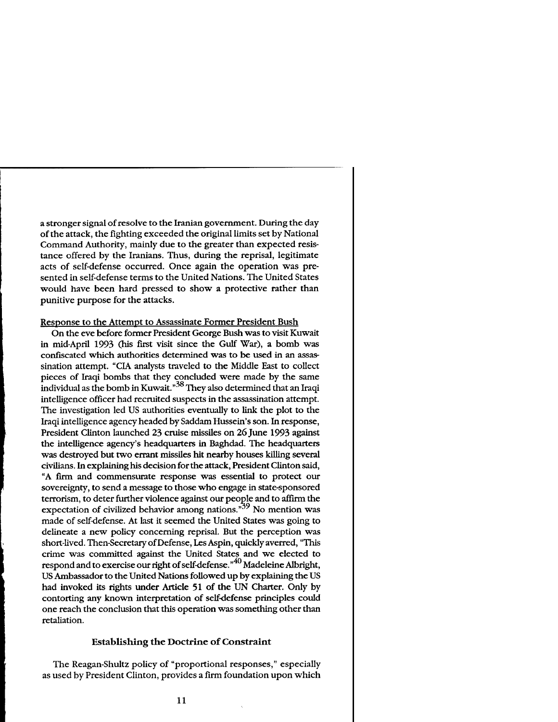a stronger signal of resolve to the Iranian government. During the day of the attack, the fighting exceeded the original limits set by National Command Authority, mainly due to the greater than expected resistance offered by the Iranians. Thus, during the reprisal, legitimate acts of self-defense occurred. Once again the operation was presented in self-defense terms to the United Nations. The United States would have been hard pressed to show a protective rather than punitive purpose for the attacks.

#### Response to the Attempt to Assassinate Former President Bush

On the eve before former President George Bush was to visit Kuwait in mid-April 1993 (his first visit since the Gulf War), a bomb was confiscated which authorities determined was to be used in an assassination attempt. "CIA analysts traveled to the Middle East to collect pieces of Iraqi bombs that they concluded were made by the same individual as the bomb in Kuwait." $^{38}$  They also determined that an Iraqi intelligence officer had recruited suspects in the assassination attempt. The investigation led US authorities eventually to link the plot to the Iraqi intelligence agency headed by Saddam Hussein's son. In response, President Clinton launched **23** cruise missiles on *26* June **1993** against the intelligence agency's headquarters in Baghdad. The headquarters was destroyed but two errant missiles hit nearby houses killing several civilians. In explaining his decision for the attack, President Clinton said, "A firm and commensurate response was essential to protect our sovereignty, to send a message to those who engage in statesponsored terrorism, to deter further violence against our people and to affirm the expectation of civilized behavior among nations.<sup> $39$ </sup> No mention was made of self-defense. At last it seemed the United States was going to delineate a new policy concerning reprisal. But the perception was short-lived. Then-Secretary of Defense, Les Aspin, quickly averred, "This crime was committed against the United States and we elected to respond and to exercise our right of self-defense."<sup>40</sup> Madeleine Albright, US Ambassador to the United Nations followed up by explaining the US had invoked its rights under Article **51** of the **UN** Charter. Only by contorting any known interpretation of selfdefense principles could one reach the conclusion that this operation was something other than retaliation.

# **Establishing the Doctrine of Constraint**

The Reagan-Shultz policy of "proportional responses," especially as used by President Clinton, provides a firm foundation upon which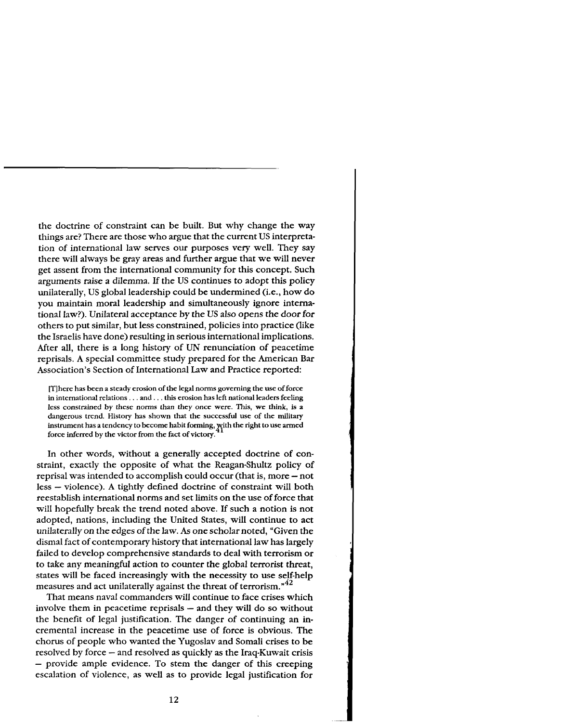the doctrine of constraint can be built. But why change the way things are? There are those who argue that the current US interpretation of international law serves our purposes very well. They say there will always be gray areas and further argue that we will never get assent from the international community for this concept. Such arguments raise a dilemma. If the US continues to adopt this policy unilaterally, US global leadership could be undermined (i.e., how do you maintain moral leadership and simultaneously ignore international law?). Unilateral acceptance by the US also opens the door for others to put similar, but less constrained, policies into practice (like the Israelis have done) resulting in serious international implications. After all, there is a long history of UN renunciation of peacetime reprisals. A special committee study prepared for the American Bar Association's Section of International Law and Practice reported:

**[Tlhere has been a steady erosion of the legal norms governing the use of force in international relations** . . . **and.** . . **this erosion has left national leaders feeling less constrained by these norms than they once were. This, we think, is a dangerous trend. History has shown that the successful use of the military**  instrument has a tendency to become habit forming, yith the right to use armed **force inferred by the victor from the fact of victory.** 

In other words, without a generally accepted doctrine of constraint, exactly the opposite of what the Reagan-Shultz policy of reprisal was intended to accomplish could occur (that is, more – not less - violence). A tightly defined doctrine of constraint will both reestablish international norms and set limits on the use of force that will hopefully break the trend noted above. If such a notion is not adopted, nations, including the United States, will continue to act unilaterally on the edges of the law. As one scholar noted, "Given the dismal fact of contemporary history that international law has largely failed to develop comprehensive standards to deal with terrorism or to take any meaningful action to counter the global terrorist threat, states will be faced increasingly with the necessity to use self-help measures and act unilaterally against the threat of terrorism."<sup>42</sup>

That means naval commanders will continue to face crises which involve them in peacetime reprisals  $-$  and they will do so without the benefit of legal justification. The danger of continuing an incremental increase in the peacetime use of force is obvious. The chorus of people who wanted the Yugoslav and Somali crises to be resolved by force - and resolved as quickly as the Iraq-Kuwait crisis resolved by force – and resolved as quickly as the Iraq-Kuwait crisis<br>- provide ample evidence. To stem the danger of this creeping escalation of violence, as well as to provide legal justification for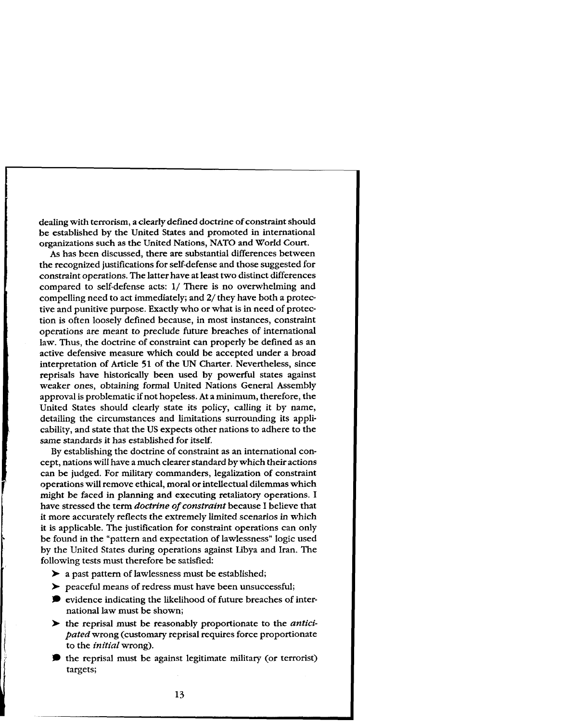dealing with terrorism, a clearly defined doctrine of constraint should be established by the United States and promoted in international organizations such as the United Nations, NATO and World Court.

As has been discussed, there are substantial differences between the recognized justifications for self-defense and those suggested for constraint operations. The latter have at least two distinct differences compared to self-defense acts: 1/ There is no overwhelming and compelling need to act immediately; and **2/** they have both a protective and punitive purpose. Exactly who or what is in need of protection is often loosely defined because, in most instances, constraint operations are meant to preclude future breaches of international law. Thus, the doctrine of constraint can properly be defined as an active defensive measure which could be accepted under a broad interpretation of Article 51 of the UN Charter. Nevertheless, since reprisals have historically been used by powerful states against weaker ones, obtaining formal United Nations General Assembly approval is problematic if not hopeless. At a minimum, therefore, the United States should clearly state its policy, calling it by name, detailing the circumstances and limitations surrounding its applicability, and state that the US expects other nations to adhere to the same standards it has established for itself.

By establishing the doctrine of constraint as an international concept, nations will have a much clearer standard by which their actions can be judged. For military commanders, legalization of constraint operations will remove ethical, moral or intellectual dilemmas which might be faced in planning and executing retaliatory operations. I have stressed the term *doctrine of constraint* because I believe that it more accurately reflects the extremely limited scenarios in which it is applicable. The justification for constraint operations can only be found in the "pattern and expectation of lawlessness" logic used by the United States during operations against Libya and Iran. The following tests must therefore be satisfied:

- > a past pattern of lawlessness must be established;
- > peaceful means of redress must have been unsuccessful;
- $\bullet$  evidence indicating the likelihood of future breaches of international law must be shown;
- > the reprisal must be reasonably proportionate to the *anticipated* wrong (customary reprisal requires force proportionate to the *initial* wrong).
- $\bullet$  the reprisal must be against legitimate military (or terrorist) targets;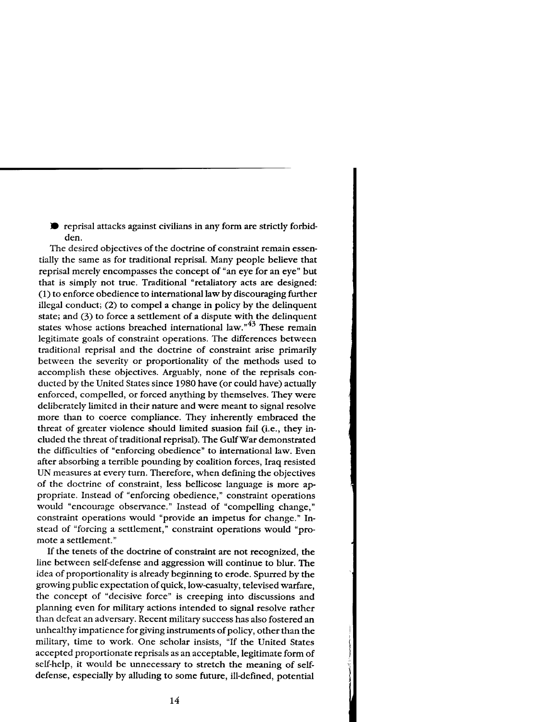reprisal attacks against civilians in any form are strictly forbidden.

The desired objectives of the doctrine of constraint remain essentially the same as for traditional reprisal. Many people believe that reprisal merely encompasses the concept of "an eye for an eye" but that is simply not true. Traditional "retaliatory acts are designed: (1) to enforce obedience to international law by discouraging further illegal conduct; (2) to compel a change in policy by the delinquent state; and **(3)** to force a settlement of **a** dispute with the delinquent states whose actions breached international law. $\frac{1}{43}$  These remain legitimate goals of constraint operations. The differences between traditional reprisal and the doctrine of constraint arise primarily between the severity or proportionality of the methods used to accomplish these objectives. Arguably, none of the reprisals conducted by the United States since 1980 have (or could have) actually enforced, compelled, or forced anything by themselves. They were deliberately limited in their nature and were meant to signal resolve more than to coerce compliance. They inherently embraced the threat of greater violence should limited suasion fail (i.e., they included the threat of traditional reprisal). The GulfWar demonstrated the difficulties of "enforcing obedience" to international law. Even after absorbing a terrible pounding by coalition forces, Iraq resisted UN measures at every turn. Therefore, when defining the objectives of the doctrine of constraint, less bellicose language is more appropriate. Instead of "enforcing obedience," constraint operations would "encourage observance." Instead of "compelling change," constraint operations would "provide an impetus for change." Instead of "forcing a settlement," constraint operations would "promote a settlement."

If the tenets of the doctrine of constraint are not recognized, the line between self-defense and aggression will continue to blur. The idea of proportionality is already beginning to erode. Spurred by the growing public expectation of quick, low-casualty, televised warfare, the concept of "decisive force" is creeping into discussions and planning even for military actions intended to signal resolve rather than defeat an adversary. Recent military success has also fostered an unhealthy impatience for giving instruments of policy, other than the military, time to work. One scholar insists, "If the United States accepted proportionate reprisals as an acceptable, legitimate form of self-help, it would be unnecessary to stretch the meaning of selfdefense, especially by alluding to some future, ill-defined, potential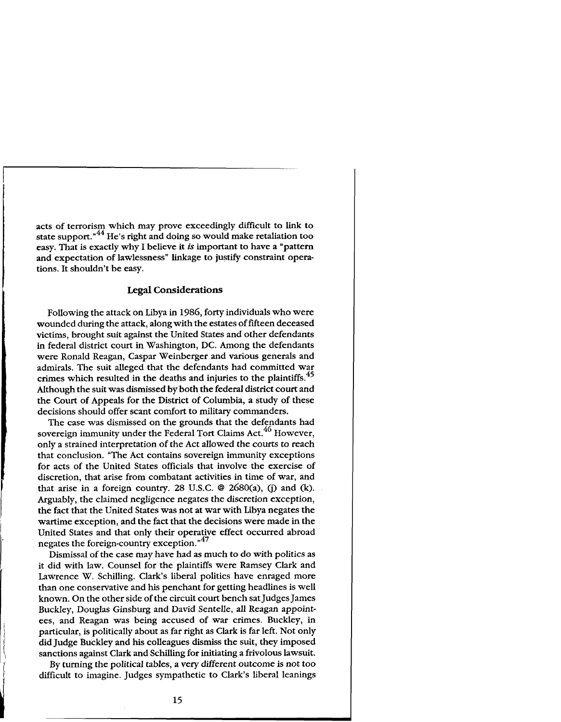acts of terrorism which may prove exceedingly difficult to link to state support."<sup>44</sup> He's right and doing so would make retaliation too easy. That is exactly why I believe it *is* important to have a "pattern and expectation of lawlessness" linkage to justify constraint operations. It shouldn't be easy.

# **Legal Considerations**

Following the attack on Libya in 1986, forty individuals who were wounded during the attack, along with the estates of fifteen deceased victims, brought suit against the United States and other defendants in federal district court in Washington, DC. Among the defendants were Ronald Reagan, Caspar Weinberger and various generals and admirals. The suit alleged that the defendants had committed war crimes which resulted in the deaths and injuries to the plaintiffs.<sup>45</sup> \ Although the suit was dismissed by both the federal district court and the Court of Appeals for the District of Columbia, a study of these decisions should offer scant comfort to military commanders.

The case was dismissed on the grounds that the defendants had sovereign immunity under the Federal Tort Claims Act. $^{46}$  However, only a strained interpretation of the Act allowed the courts to reach that conclusion. "The Act contains sovereign immunity exceptions for acts of the United States officials that involve the exercise of discretion, that arise from combatant activities in time of war, and that arise in a foreign country. 28 U.S.C. **Q** 2680(a), (j) and (k). Arguably, the claimed negligence negates the discretion exception, the fact that the United States was not at war with Libya negates the wartime exception, and the fact that the decisions were made in the United States and that only their operative effect occurred abroad negates the foreign-country exception."<sup>47</sup>

Dismissal of the case may have had as much to do with politics as it did with law. Counsel for the plaintiffs were Ramsey Clark and Lawrence W. Schilling. Clark's liberal politics have enraged more than one conservative and his penchant for getting headlines is well known. On the other side of the circuit court bench sat Judges James Buckley, Douglas Ginsburg and David Sentelle, all Reagan appointees, and Reagan was being accused of war crimes. Buckley, in particular, is politically about as far right as Clark is far left. Not only did Judge Buckley and his colleagues dismiss the suit, they imposed sanctions against Clark and Schilling for initiating a frivolous lawsuit.

By turning the political tables, a very different outcome is not too difficult to imagine. Judges sympathetic to Clark's liberal leanings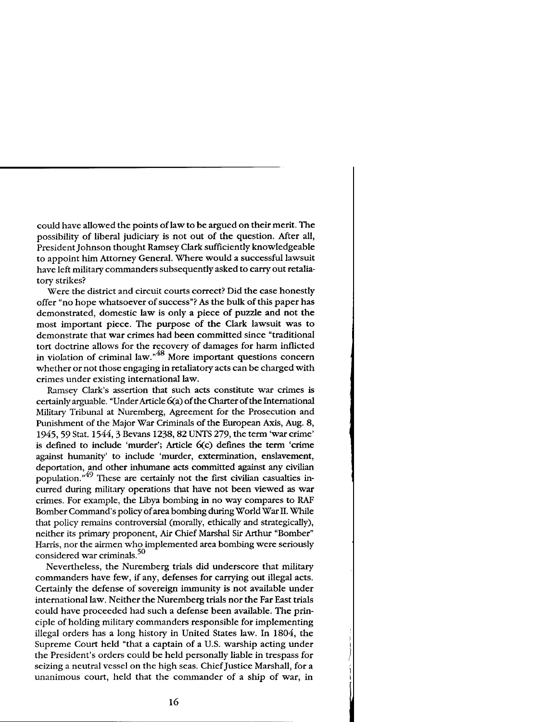could have allowed the points of law to be argued on their merit. The possibility of liberal judiciary is not out of the question. After all, President Johnson thought Ramsey Clark sufficiently knowledgeable to appoint him Attorney General. Where would a successful lawsuit have left military commanders subsequently asked to carry out retaliatory strikes?

Were the district and circuit courts correct? Did the case honestly offer "no hope whatsoever of success"? As the bulk of this paper has demonstrated, domestic law is only a piece of puzzle and not the most important piece. The purpose of the Clark lawsuit was to demonstrate that war crimes had been committed since "traditional tort doctrine allows for the recovery of damages for harm inflicted in violation of criminal law."<sup>48</sup> More important questions concern whether or not those engaging in retaliatory acts can be charged with crimes under existing international law.

Ramsey Clark's assertion that such acts constitute war crimes is certainly arguable. "Under Article 6(a) of the Charter of the International Military Tribunal at Nuremberg, Agreement for the Prosecution and Punishment of the Major War Criminals of the European Axis, Aug. 8, 1945,59 Stat. 15443 Bevans 1238,82 **UNTS** 279, the term 'war crime' is defined to include 'murder'; Article 6(c) defines the term 'crime against humanity' to include 'murder, extermination, enslavement, deportation, and other inhumane acts committed against any civilian population."<sup>49</sup> These are certainly not the first civilian casualties incurred during military operations that have not been viewed as war crimes. For example, the Libya bombing in no way compares to **RAF**  Bomber Command's policy of area bombing during World War **11.** While that policy remains controversial (morally, ethically and strategically), neither its primary proponent, Air Chief Marshal Sir Arthur "Bomber" Harris, nor the airmen who implemented area bombing were seriously considered war criminals. **<sup>50</sup>**

Nevertheless, the Nuremberg trials did underscore that military commanders have few, if any, defenses for carrying out illegal acts. Certainly the defense of sovereign immunity is not available under international law. Neither the Nuremberg trials nor the Far East trials could have proceeded had such a defense been available. The principle of holding military commanders responsible for implementing illegal orders has a long history in United States law. In 1804, the Supreme Court held "that a captain of a U.S. warship acting under the President's orders could be held personally liable in trespass for seizing a neutral vessel on the high seas. Chief Justice Marshall, for a unanimous court, held that the commander of a ship of war, in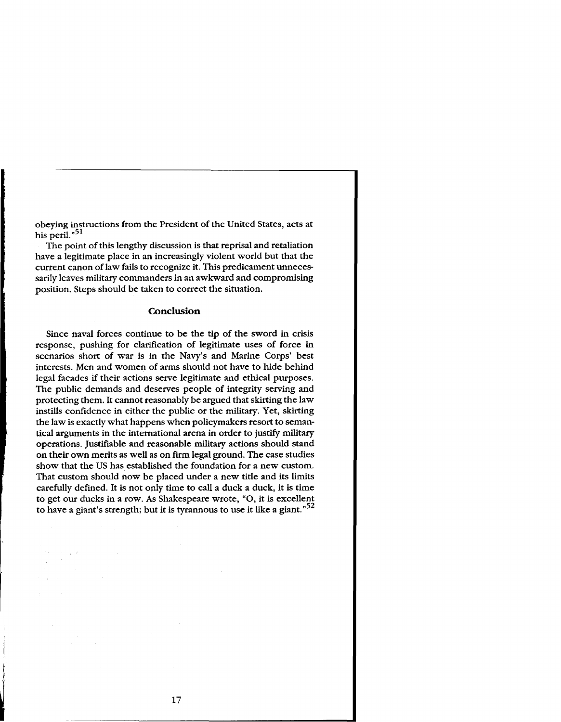obeying instructions from the President of the United States, acts at his peril."<sup>51</sup>

The point of this lengthy discussion is that reprisal and retaliation have a legitimate place in an increasingly violent world but that the current canon of law fails to recognize it. This predicament unnecessarily leaves military commanders in an awkward and compromising position. Steps should be taken to correct the situation.

#### **Conclusion**

Since naval forces continue to be the tip of the sword in crisis response, pushing for clarification of legitimate uses of force in scenarios short of war is in the Navy's and Marine Corps' best interests. Men and women of arms should not have to hide behind legal facades if their actions serve legitimate and ethical purposes. The public demands and deserves people of integrity serving and protecting them. It cannot reasonably be argued that skirting the law instills confidence in either the public or the military. Yet, skirting the law is exactly what happens when policymakers resort to semantical arguments in the international arena in order to justify military operations. Justifiable and reasonable military actions should stand on their own merits as well as on firm legal ground. The case studies show that the US has established the foundation for a new custom. That custom should now be placed under a new title and its limits carefully defined. It is not only time to call a duck a duck, it is time to get our ducks in a row. As Shakespeare wrote, "0, it is excellent to have a giant's strength; but it is tyrannous to use it like a giant."<sup>52</sup>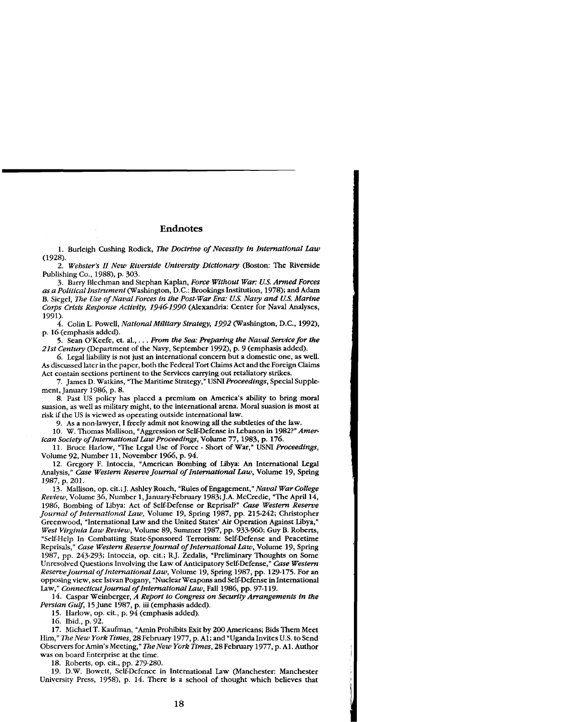#### **Endnotes**

1. Burleigh Cushing Rodick, *The Doctrine of Necessity in International Law* (1928).

2. *Webster's* **N** *New Riverside University Dictionary* (Boston: The Riverside Publishing Co., 1988), p. 303.

3. Barry Blechman and Stephan Kaplan, *Force Without War: US. Armed Forces as a PoliticalInstrument* (Washington, D.C.: Brookings Institution, 1978); and Adam B. Siegel, *me Use of Naval Forces in the Post-War Era: US. Navy and US. Marine Corps Crisis Response Activity, 19461990* (Alexandria: Center for Naval Analyses, 1991).

4. Colin L. Powell, *National Military Strategy, 1992* (Washington, D.C., 1992), p. 16 (emphasis added).

5. Sean O'Keefe, et. al., . . . *From the Sea: F'reparing the Naval Service for the 21st Centuq* (Department of the Navy, September 1992), p. 9 (emphasis added).

6. Legal liability is not just **an** international concern but a domestic one, as well. As discussed later **in** the paper, both the Federal Tort Claims Act and the Foreign Claims Act contain sections pertinent to the Services carrying out retaliatory strikes.

7. James D. Watkins, "The Maritime Strategy," USNI *Proceedings,* Special Supplement, January 1986, p. 8.

8. Past US policy has placed a premium on America's ability to bring moral suasion, as well as military might, to the international arena. Moral suasion is most at risk if the US is viewed as operating outside international law.

9. As a non-lawyer, I freely admit not knowing all the subtleties of the law.

10. W. Thomas Mallison, "Aggression or Self-Defense in Lebanon in 1982?" *American Society of lnternational Law Proceedings,* Volume 77, 1983, p. 176.

11. Bruce Harlow, "The Legal Use of Force - Short of War," USNI *Proceedings,*  Volume 92, Number 11, November 1966, p. 94.

12. Gregory F. Intoccia, "American Bombing of Libya: **An** International Legal Analysis," *Case Western Reserve Journal of International Law,* Volume 19, Spring 1987, p. 201.

13 Mallison, op. cit.; J. Ashley Roach, "Rules of Engagement," *Naval War College Review,* Volume 36, Number 1, January-February 1983; J.A. McCredie, "The April 14, 1986, Bombing of Libya: Act of Self-Defense or Reprisal?" *Case Western Reserve Journal of International Law,* Volume 19, Spring 1987, pp. 215-242; Christopher Greenwood, "International Law and the United States' Air Operation Against Libya," *West Virginia Law Review,* Volume 89, Summer 1987, pp. 933-960; Guy B. Roberts, "Self-Help In Combatting State-Sponsored Terrorism: Self-Defense and Peacetime Reprisals," *Case Western Reserve Journal* **of** *International Law,* Volume 19, Spring 1987, pp. 243-293; Intoccia, op. cit.; RJ. Zedalis, "Preliminary Thoughts on Some Unresolved Questions Involving the Law of Anticipatory Self-Defense," *Case Western Reserve Journal of ZnternationalLaw,* Volume 19, Spring 1987, pp. 129-175. For an opposing view, see Istvan Pogany, "Nuclear Weapons and Self-Defense in International Law," *Connecticut Journal of International Law*, Fall 1986, pp. 97-119.

14. Caspar Weinberger, *A Report to Congress on Security Arrangements in the*  Persian Gulf, 15 June 1987, p. iii (emphasis added).

15. Harlow, op. cit., p. 94 (emphasis added).

16. Ibid., p. 92.

17. Michael T. Kaufman, "Amin Prohibits Exit by 200 Americans; Bids Them Meet Him," *The New York Times,* 28 February 1977, p. Al; and "Uganda Invites U.S. to Send Observers for Amin's Meeting," *The New York Times,* 28 February 1977, p. Al. Author was on board Enterprise at the time.

18. Roberts, op. cit., pp. 279-280.

19. D.W. Bowett, Self-Defence in International Law (Manchester: Manchester University Press, 1958), p. 14. There is a school of thought which believes that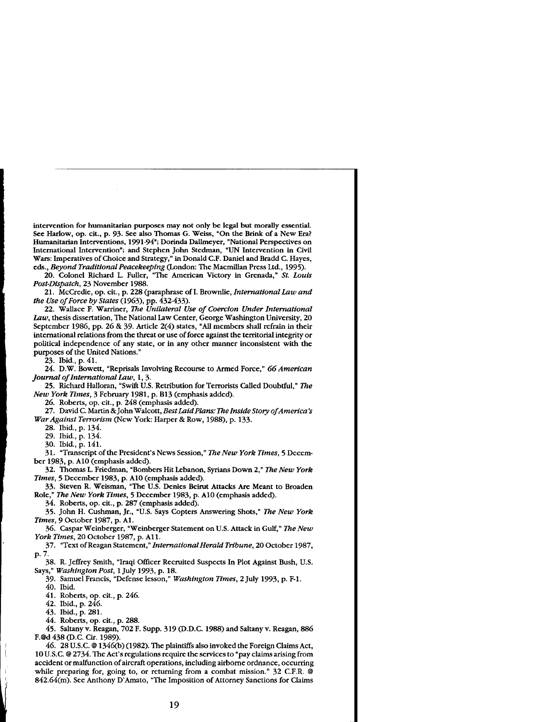intervention for humanitarian purposes may not only **be** legal but morally essential. See Harlow, op. cit., p. 93. See also Thomas G. Weiss, "On the Brink of a New Era? Humanitarian Interventions, 1991-94"; Dorinda Dallmeyer, "National Perspectives on International Intervention"; and Stephen John Stedman, **"UN** Intervention in Civil Wars: Imperatives of Choice and Strategy," in Donald C.F. Daniel and Bradd C. Hayes, eds., *Beyond Traditional Peacekeeping* (London: The Macmillan Press Ltd., 1995).

20. Colonel Richard L. Fuller, "The American Victory in Grenada," *St. Louis Post-Dispatch,* 23 November 1988.

21. McCredie, op. cit., p. 228 (paraphrase of I. Brownlie, *International Law and the Use of Force by States* (1963), pp. 432433).

22. Wallace F. Warriner, *The Unilateral Use of Coercion Under International Law,* thesis dissertation, The National Law Center, George Washington University, 20 September 1986, pp. 26 & 39. Article 2(4) states, "All members shall refrain in their international relations from the threat or use of force against the territorial integrity or political independence of any state, or in any other manner inconsistent with the purposes of the United Nations."

23. Ibid., p. 41.

24. D.W. Bowett, "Reprisals Involving Recourse to Armed Force." 66 American *Journal of International Law,* 1,3.

25. Richard Halloran. "Swift U.S. Retribution for Terrorists Called Doubtful." *The New York Times,* 3 February 1981, p. B13 (emphasis added).

26. Roberts, op. cit., p. 248 (emphasis added).

27. David C. Martin & John Walcott, *Best Laid Plans: The Inside Story of America's War Against Terrorism (New York: Harper & Row, 1988), p. 133.* 

28. Ibid., p. 134.

29. Ibid., p. 134.

30. Ibid., p. 141.

31. "Transcript of the President's News Session," *The New York Times,* 5 December 1983, p. A10 (emphasis added).

32. Thomas L. Friedman, "Bombers Hit Lebanon, Syrians Down 2," *The New York Times,* 5 December 1983, p. A10 (emphasis added).

33. Steven R. Weisman, "The U.S. Denies Beirut Attacks Are Meant to Broaden Role," *The New York Times,* 5 December 1983, p. A10 (emphasis added).

34. Roberts, op. cit., p. 287 (emphasis added).

35. John H. Cushman, Jr., "U.S. Says Copters Answering Shots," *The New York Times,* 9 October 1987, p. Al.

36. Caspar Weinberger, "Weinberger Statement on U.S. Attack in Gulf," *The New York Times, 20 October 1987, p. A11.* 

- 37. "Text of Reagan Statement," *ZnternationalHerald Tribune,* 20 October 1987, p. 7.
- 38. R. Jeffrey Smith, "Iraqi Officer Recruited Suspects In Plot Against Bush, U.S. Says," *Washington Post,* 1 July 1993, p. 18.
- 39. Samuel Francis, "Defense lesson," *Washington Times,* 2 July 1993, p. F-1. 40. Ibid.

41. Roberts, op. cit., p. 246.

42. Ibid., p. 246.

43. Ibid., p. 281.

44. Roberts, op. cit., p. 288.

45. Saltany v. Reagan, 702 F. Supp. 319 (D.D.C. 1988) and Saltany v. Reagan, 886 F.@d 438 (D.C. Cir. 1989).

: 46. 28 U.S.C. @ 134G(b) (1982). The plaintiffs also invoked the Foreign Claims Act, <sup>I</sup>10 U.S.C. @ 2734. The Act's regulations require the services to "pay claims arising from accident or malfunction of aircraft operations, including airborne ordnance, occurring while preparing for, going to, or returning from a combat mission." 32 C.F.R. @ 842.64(m). See Anthony D'Amato, "The Imposition of Attorney Sanctions for Claims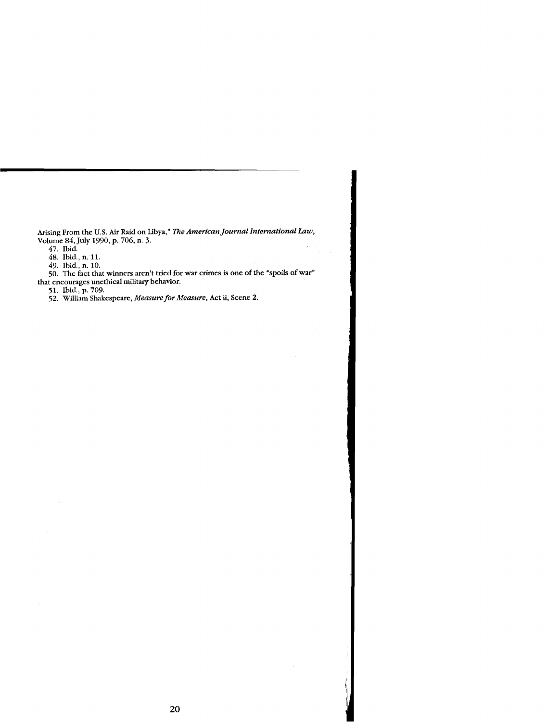**Arising From the** US. **Air Raid on Libya,"** *The American Journal International* **taw, Volume** *84,* **July** *1990,* **p.** *706,* **n. 3.** 

*47.* **Ibid.** 

*48.* **Ibid., n.** *1* **1.** 

*49.* **Ibid., n.** *10.* 

60. The fact that winners aren't tried for war crimes is one of the "spoils of war" **that encourages unethical military behavior.** 

*51.* **Ibid., p.** *709.* 

*52.* **William Shakespeare,** *Measure* **for** *Measure,* **Act ii, Scene 2.**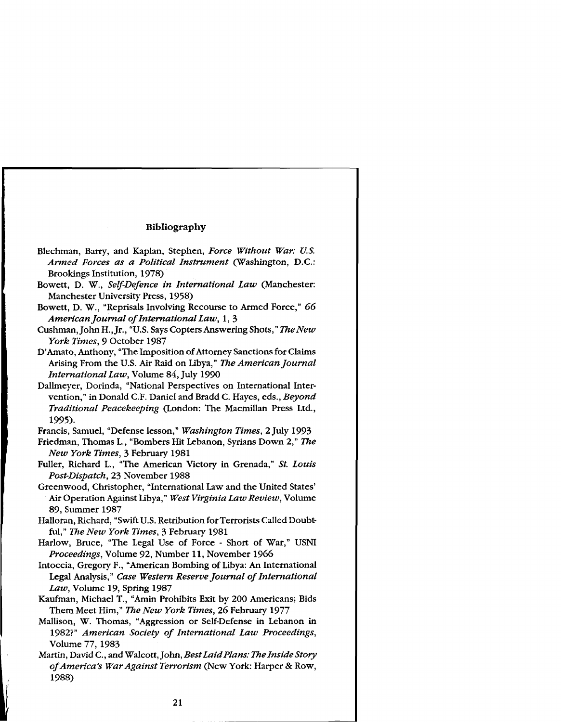# **Bibliography**

- Blechman, Barry, and Kaplan, Stephen, Force Without War: U.S. Armed Forces as a Political Instrument (Washington, D.C.: Brookings Institution, 1978)
- Bowett, D. W., Self-Defence in International Law (Manchester: Manchester University Press, 1958)
- Bowett, D. W., "Reprisals Involving Recourse to Armed Force," 66 American Journal of International Law, 1, 3
- Cushman, John H., Jr., "U.S. Says Copters Answering Shots," The New York Times, 9 October 1987
- D'Amato, Anthony, "The Imposition of Attorney Sanctions for Claims Arising From the U.S. Air Raid on Libya," The American Journal International Law, Volume 84, July 1990
- Dallmeyer, Dorinda, "National Perspectives on International Intervention," in Donald C.F. Daniel and Bradd C. Hayes, eds., Beyond Traditional Peacekeeping (London: The Macmillan Press Ltd., 1995).

Francis, Samuel, "Defense lesson," Washington Times, 2 July 1993

- Friedman, Thomas L., "Bombers Hit Lebanon, Syrians Down 2," The New York Times, 3 February 1981
- Fuller, Richard L., "The American Victory in Grenada," St. Louis Post-Dispatch, 23 November 1988
- Greenwood, Christopher, "International Law and the United States' Air Operation Against Libya," West Virginia Law Review, Volume 89, Summer 1987
- Halloran, Richard, "Swift U.S. Retribution for Terrorists Called Doubtful," The New York Times, 3 February 1981
- Harlow, Bruce, "The Legal Use of Force Short of War," USNI Proceedings, Volume 92, Number 11, November 1966
- Intoccia, Gregory F., "American Bombing of Libya: An International Legal Analysis," Case Western Reserve Journal of International Law, Volume 19, Spring 1987
- Kaufman, Michael T., "Amin Prohibits Exit by 200 Americans; Bids Them Meet Him," The New York Times, 26 February 1977
- Mallison, W. Thomas, "Aggression or Self-Defense in Lebanon in 1982?" American Society of International Law Proceedings, Volume 77, 1983
- Martin, David C., and Walcott, John, Best Laid Plans: The Inside Story of America's War Against Terrorism (New York: Harper & Row, 1988)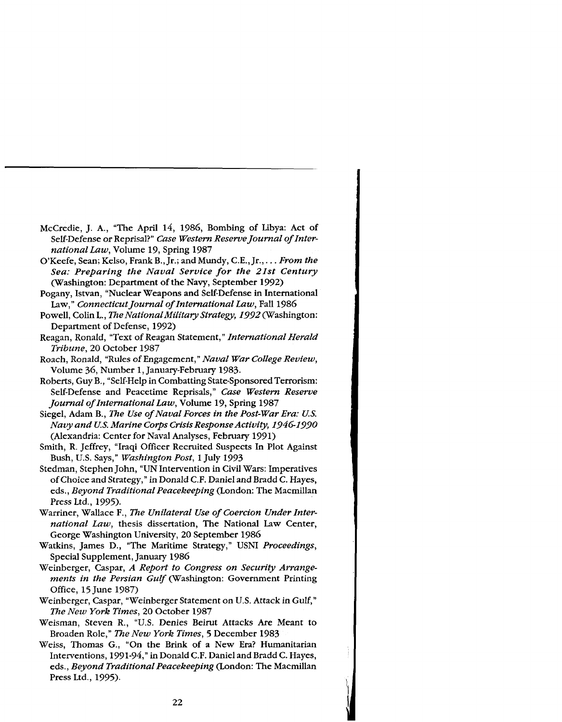- McCredie, J. A., "The April 14, 1986, Bombing of Libya: Act of Self-Defense or Reprisal?" *Case Western Reserve Journal of International Law,* Volume 19, Spring 1987
- O'Keefe, Sean; Kelso, Frank B., Jr.; and Mundy, C.E., Jr., . . . *From the Sea: Preparing the Naval Service for the 21st Century*  (Washington: Department of the Navy, September 1992)
- Pogany, Istvan, "Nuclear Weapons and Self-Defense in International Law," *Connecticut Journal of International Law,* Fall 1986
- Powell, Colin L., *The National Military Strategy, 1992* (Washington: Department of Defense, 1992)
- Reagan, Ronald, "Text of Reagan Statement," *International Herald Tribune,* 20 October 1987
- Roach, Ronald, "Rules of Engagement," *Naval War College Review,*  Volume 36, Number 1, January-February 1983.
- Roberts, Guy B., "Self-Help in Combatting State-Sponsored Terrorism: Self-Defense and Peacetime Reprisals," *Case Western Reserve Journal of International Law,* Volume 19, Spring 1987
- Siegel, Adam B., *The Use of Naval Forces in the Post-War Era: US. Navy and US. Marine Corps Crisis Response Activity, 1946-1990*  (Alexandria: Center for Naval Analyses, February 1991)
- Smith, R. Jeffrey, "Iraqi Officer Recruited Suspects In Plot Against Bush, US. Says," *Washington Post,* 1 July 1993
- Stedman, Stephen John, "UN Intervention in Civil Wars: Imperatives of Choice and Strategy," in Donald C.F. Daniel and Bradd C. Hayes, eds., *Beyond Traditional Peacekeeping* (London: The Macmillan Press Ltd., 1995).
- Warriner, Wallace F., *The Unilateral Use of Coercion Under International Law,* thesis dissertation, The National Law Center, George Washington University, 20 September 1986
- Watkins, James D., "The Maritime Strategy," USNI *Proceedings,*  Special Supplement, January 1986
- Weinberger, Caspar, *A Report to Congress on Security Arrangements in the Persian Gulf* (Washington: Government Printing Office, 15 June 1987)
- Weinberger, Caspar, "Weinberger Statement on U.S. Attack in Gulf," *The New York Times,* 20 October 1987
- Weisman, Steven R., "U.S. Denies Beirut Attacks Are Meant to Broaden Role," *The New York Times, 5* December 1983
- Weiss, Thomas G., "On the Brink of a New Era? Humanitarian Interventions, 1991-94," in Donald C.F. Daniel and Bradd C. Hayes, eds., *Beyond Traditional Peacekeeping* (London: The Macmillan Press Ltd., 1995).